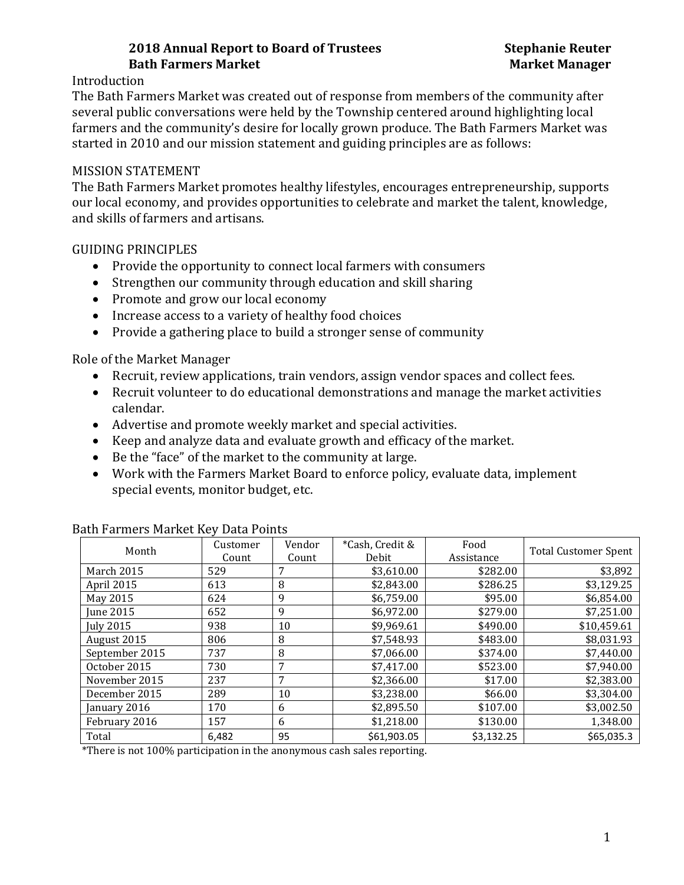# **2018 Annual Report to Board of Trustees Stephanie Reuter Bath Farmers Market Market Manager**

## Introduction

The Bath Farmers Market was created out of response from members of the community after several public conversations were held by the Township centered around highlighting local farmers and the community's desire for locally grown produce. The Bath Farmers Market was started in 2010 and our mission statement and guiding principles are as follows:

## MISSION STATEMENT

The Bath Farmers Market promotes healthy lifestyles, encourages entrepreneurship, supports our local economy, and provides opportunities to celebrate and market the talent, knowledge, and skills of farmers and artisans.

## GUIDING PRINCIPLES

- Provide the opportunity to connect local farmers with consumers
- Strengthen our community through education and skill sharing
- Promote and grow our local economy
- Increase access to a variety of healthy food choices
- Provide a gathering place to build a stronger sense of community

Role of the Market Manager

- Recruit, review applications, train vendors, assign vendor spaces and collect fees.
- Recruit volunteer to do educational demonstrations and manage the market activities calendar.
- Advertise and promote weekly market and special activities.
- Keep and analyze data and evaluate growth and efficacy of the market.
- Be the "face" of the market to the community at large.
- Work with the Farmers Market Board to enforce policy, evaluate data, implement special events, monitor budget, etc.

| Month            | Customer<br>Count | Vendor<br>Count | *Cash, Credit &<br>Debit | Food<br>Assistance | <b>Total Customer Spent</b> |
|------------------|-------------------|-----------------|--------------------------|--------------------|-----------------------------|
| March 2015       | 529               | 7               | \$3,610.00               | \$282.00           | \$3,892                     |
| April 2015       | 613               | 8               | \$2,843.00               | \$286.25           | \$3,129.25                  |
| May 2015         | 624               | 9               | \$6,759.00               | \$95.00            | \$6,854.00                  |
| June 2015        | 652               | 9               | \$6,972.00               | \$279.00           | \$7,251.00                  |
| <b>July 2015</b> | 938               | 10              | \$9,969.61               | \$490.00           | \$10,459.61                 |
| August 2015      | 806               | 8               | \$7,548.93               | \$483.00           | \$8,031.93                  |
| September 2015   | 737               | 8               | \$7,066.00               | \$374.00           | \$7,440.00                  |
| October 2015     | 730               | 7               | \$7,417.00               | \$523.00           | \$7,940.00                  |
| November 2015    | 237               | 7               | \$2,366.00               | \$17.00            | \$2,383.00                  |
| December 2015    | 289               | 10              | \$3,238.00               | \$66.00            | \$3,304.00                  |
| January 2016     | 170               | 6               | \$2,895.50               | \$107.00           | \$3,002.50                  |
| February 2016    | 157               | 6               | \$1,218.00               | \$130.00           | 1,348.00                    |
| Total            | 6,482             | 95              | \$61,903.05              | \$3,132.25         | \$65,035.3                  |

### Bath Farmers Market Key Data Points

\*There is not 100% participation in the anonymous cash sales reporting.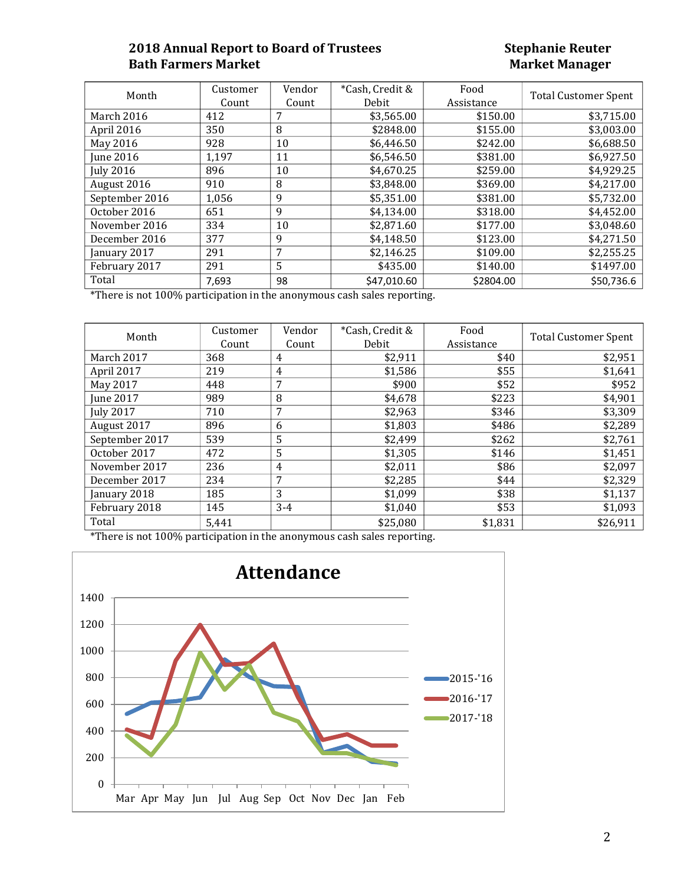## **2018 Annual Report to Board of Trustees Stephanie Reuter Bath Farmers Market**

| Month            | Customer | Vendor | *Cash, Credit & | Food       | <b>Total Customer Spent</b> |
|------------------|----------|--------|-----------------|------------|-----------------------------|
|                  | Count    | Count  | Debit           | Assistance |                             |
| March 2016       | 412      | 7      | \$3,565.00      | \$150.00   | \$3,715.00                  |
| April 2016       | 350      | 8      | \$2848.00       | \$155.00   | \$3,003.00                  |
| May 2016         | 928      | 10     | \$6.446.50      | \$242.00   | \$6,688.50                  |
| June 2016        | 1,197    | 11     | \$6,546.50      | \$381.00   | \$6,927.50                  |
| <b>July 2016</b> | 896      | 10     | \$4,670.25      | \$259.00   | \$4,929.25                  |
| August 2016      | 910      | 8      | \$3,848.00      | \$369.00   | \$4,217.00                  |
| September 2016   | 1,056    | 9      | \$5,351.00      | \$381.00   | \$5,732.00                  |
| October 2016     | 651      | 9      | \$4,134.00      | \$318.00   | \$4,452.00                  |
| November 2016    | 334      | 10     | \$2,871.60      | \$177.00   | \$3,048.60                  |
| December 2016    | 377      | 9      | \$4,148.50      | \$123.00   | \$4,271.50                  |
| January 2017     | 291      | 7      | \$2,146.25      | \$109.00   | \$2,255.25                  |
| February 2017    | 291      | 5      | \$435.00        | \$140.00   | \$1497.00                   |
| Total            | 7,693    | 98     | \$47,010.60     | \$2804.00  | \$50,736.6                  |

\*There is not 100% participation in the anonymous cash sales reporting.

| Month            | Customer | Vendor         | *Cash, Credit & | Food       | <b>Total Customer Spent</b> |
|------------------|----------|----------------|-----------------|------------|-----------------------------|
|                  | Count    | Count          | Debit           | Assistance |                             |
| March 2017       | 368      | 4              | \$2,911         | \$40       | \$2,951                     |
| April 2017       | 219      | $\overline{4}$ | \$1,586         | \$55       | \$1,641                     |
| May 2017         | 448      | 7              | \$900           | \$52       | \$952                       |
| <b>June 2017</b> | 989      | 8              | \$4,678         | \$223      | \$4,901                     |
| <b>July 2017</b> | 710      | 7              | \$2,963         | \$346      | \$3,309                     |
| August 2017      | 896      | 6              | \$1,803         | \$486      | \$2,289                     |
| September 2017   | 539      | 5              | \$2,499         | \$262      | \$2,761                     |
| October 2017     | 472      | 5              | \$1,305         | \$146      | \$1,451                     |
| November 2017    | 236      | $\overline{4}$ | \$2,011         | \$86       | \$2,097                     |
| December 2017    | 234      | 7              | \$2,285         | \$44       | \$2,329                     |
| January 2018     | 185      | 3              | \$1,099         | \$38       | \$1,137                     |
| February 2018    | 145      | $3 - 4$        | \$1,040         | \$53       | \$1,093                     |
| Total            | 5,441    |                | \$25,080        | \$1,831    | \$26,911                    |

\*There is not 100% participation in the anonymous cash sales reporting.

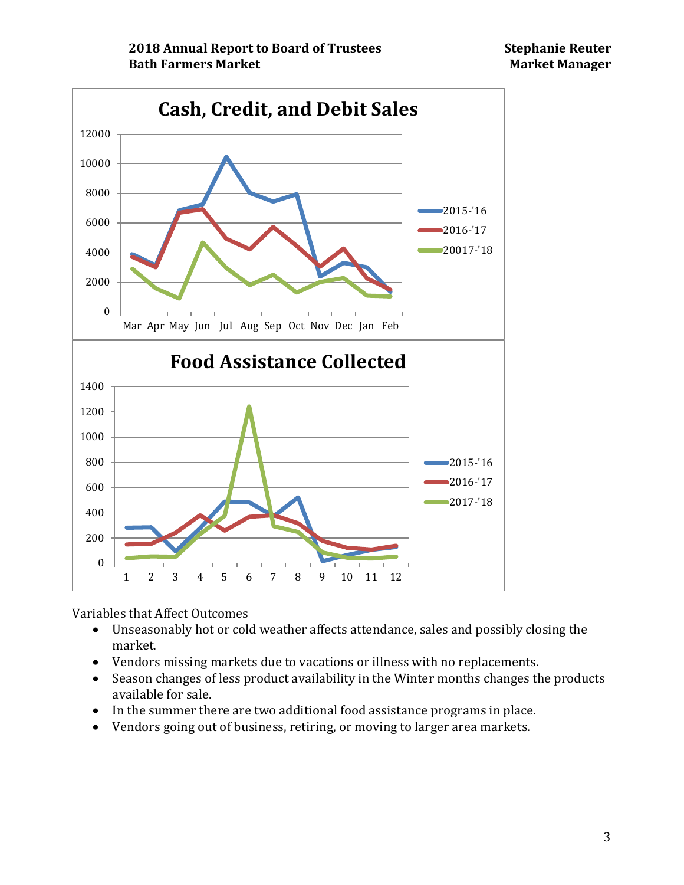

Variables that Affect Outcomes<br>• Unseasonably hot or col

- Unseasonably hot or cold weather affects attendance, sales and possibly closing the market.
- Vendors missing markets due to vacations or illness with no replacements.
- Season changes of less product availability in the Winter months changes the products available for sale.
- In the summer there are two additional food assistance programs in place.
- Vendors going out of business, retiring, or moving to larger area markets.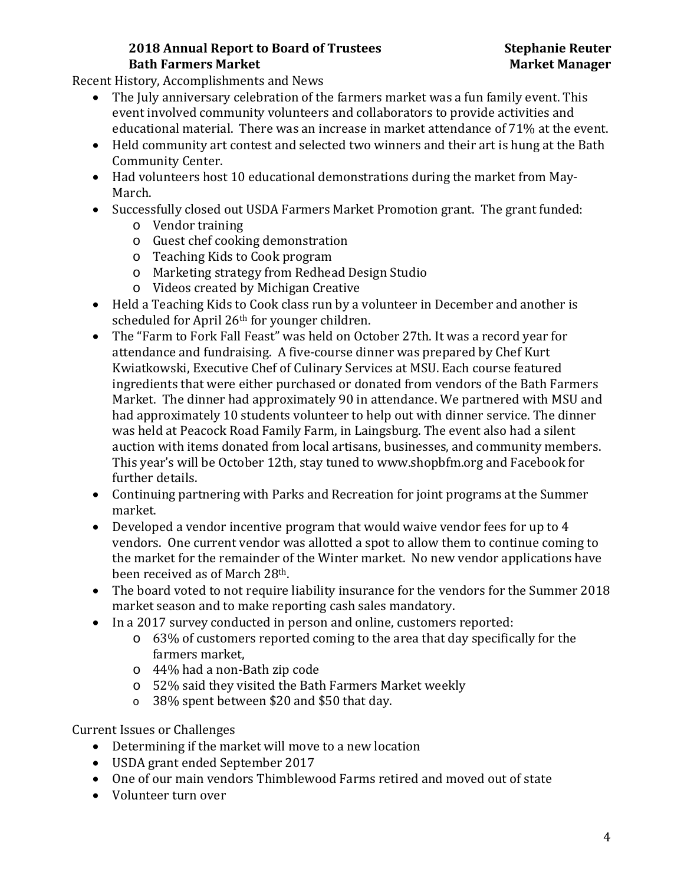# **2018 Annual Report to Board of Trustees Stephanie Reuter Bath Farmers Market Market Manager**

Recent History, Accomplishments and News

- The July anniversary celebration of the farmers market was a fun family event. This event involved community volunteers and collaborators to provide activities and educational material. There was an increase in market attendance of 71% at the event.
- Held community art contest and selected two winners and their art is hung at the Bath Community Center.
- Had volunteers host 10 educational demonstrations during the market from May-March.
- Successfully closed out USDA Farmers Market Promotion grant. The grant funded:
	- o Vendor training
	- o Guest chef cooking demonstration
	- o Teaching Kids to Cook program
	- o Marketing strategy from Redhead Design Studio
	- o Videos created by Michigan Creative
- Held a Teaching Kids to Cook class run by a volunteer in December and another is scheduled for April 26th for younger children.
- The "Farm to Fork Fall Feast" was held on October 27th. It was a record year for attendance and fundraising. A five-course dinner was prepared by Chef Kurt Kwiatkowski, Executive Chef of Culinary Services at MSU. Each course featured ingredients that were either purchased or donated from vendors of the Bath Farmers Market. The dinner had approximately 90 in attendance. We partnered with MSU and had approximately 10 students volunteer to help out with dinner service. The dinner was held at Peacock Road Family Farm, in Laingsburg. The event also had a silent auction with items donated from local artisans, businesses, and community members. This year's will be October 12th, stay tuned to www.shopbfm.org and Facebook for further details.
- Continuing partnering with Parks and Recreation for joint programs at the Summer market.
- Developed a vendor incentive program that would waive vendor fees for up to 4 vendors. One current vendor was allotted a spot to allow them to continue coming to the market for the remainder of the Winter market. No new vendor applications have been received as of March 28th.
- The board voted to not require liability insurance for the vendors for the Summer 2018 market season and to make reporting cash sales mandatory.
- In a 2017 survey conducted in person and online, customers reported:
	- o 63% of customers reported coming to the area that day specifically for the farmers market,
	- o 44% had a non-Bath zip code
	- o 52% said they visited the Bath Farmers Market weekly
	- o 38% spent between \$20 and \$50 that day.

Current Issues or Challenges

- Determining if the market will move to a new location
- USDA grant ended September 2017
- One of our main vendors Thimblewood Farms retired and moved out of state
- Volunteer turn over